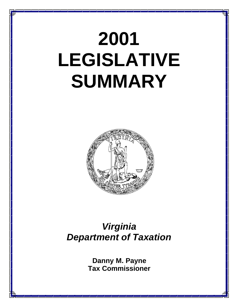# **2001 LEGISLATIVE SUMMARY**



### *Virginia Department of Taxation*

**Danny M. Payne Tax Commissioner**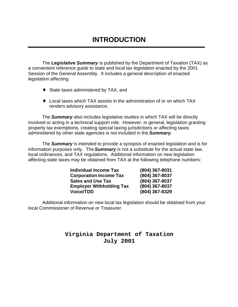### **INTRODUCTION**

The *Legislative Summary* is published by the Department of Taxation (TAX) as a convenient reference guide to state and local tax legislation enacted by the 2001 Session of the General Assembly. It includes a general description of enacted legislation affecting:

- ◆ State taxes administered by TAX, and
- $\bullet$  Local taxes which TAX assists in the administration of or on which TAX renders advisory assistance.

The *Summary* also includes legislative studies in which TAX will be directly involved or acting in a technical support role. However, in general, legislation granting property tax exemptions, creating special taxing jurisdictions or affecting taxes administered by other state agencies is not included in the *Summary*.

The *Summary* is intended to provide a synopsis of enacted legislation and is for information purposes only. The *Summary* is not a substitute for the actual state law, local ordinances, and TAX regulations. Additional information on new legislation affecting state taxes may be obtained from TAX at the following telephone numbers:

| <b>Individual Income Tax</b>    | (804) 367-8031 |
|---------------------------------|----------------|
| <b>Corporation Income Tax</b>   | (804) 367-8037 |
| <b>Sales and Use Tax</b>        | (804) 367-8037 |
| <b>Employer Withholding Tax</b> | (804) 367-8037 |
| <b>Voice/TDD</b>                | (804) 367-8329 |

Additional information on new local tax legislation should be obtained from your local Commissioner of Revenue or Treasurer.

#### **Virginia Department of Taxation July 2001**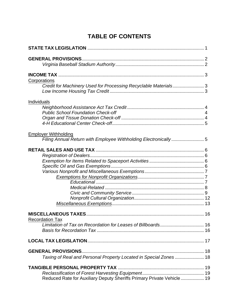### **TABLE OF CONTENTS**

| Corporations                                                           |  |  |  |
|------------------------------------------------------------------------|--|--|--|
| Credit for Machinery Used for Processing Recyclable Materials3         |  |  |  |
|                                                                        |  |  |  |
| Individuals                                                            |  |  |  |
|                                                                        |  |  |  |
| <b>Public School Foundation Check-off</b>                              |  |  |  |
|                                                                        |  |  |  |
|                                                                        |  |  |  |
| <b>Employer Withholding</b>                                            |  |  |  |
| Filing Annual Return with Employee Withholding Electronically5         |  |  |  |
|                                                                        |  |  |  |
|                                                                        |  |  |  |
|                                                                        |  |  |  |
|                                                                        |  |  |  |
|                                                                        |  |  |  |
|                                                                        |  |  |  |
|                                                                        |  |  |  |
|                                                                        |  |  |  |
|                                                                        |  |  |  |
|                                                                        |  |  |  |
|                                                                        |  |  |  |
|                                                                        |  |  |  |
| <b>Recordation Tax</b>                                                 |  |  |  |
|                                                                        |  |  |  |
|                                                                        |  |  |  |
|                                                                        |  |  |  |
| <b>GENERAL PROVISIONS</b>                                              |  |  |  |
| Taxing of Real and Personal Property Located in Special Zones  18      |  |  |  |
|                                                                        |  |  |  |
|                                                                        |  |  |  |
| Reduced Rate for Auxiliary Deputy Sheriffs Primary Private Vehicle  19 |  |  |  |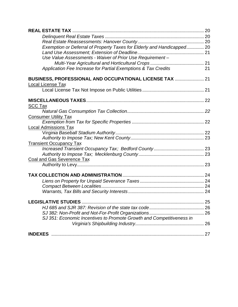| Exemption or Deferral of Property Taxes for Elderly and Handicapped 20 |    |
|------------------------------------------------------------------------|----|
|                                                                        |    |
| Use Value Assessments - Waiver of Prior Use Requirement -              |    |
|                                                                        |    |
| Application Fee Increase for Partial Exemptions & Tax Credits          | 21 |
| BUSINESS, PROFESSIONAL AND OCCUPATIONAL LICENSE TAX  21                |    |
| Local License Tax                                                      |    |
|                                                                        |    |
|                                                                        |    |
| <b>SCC Tax</b>                                                         |    |
|                                                                        |    |
| <b>Consumer Utility Tax</b>                                            |    |
|                                                                        |    |
| <b>Local Admissions Tax</b>                                            |    |
|                                                                        |    |
|                                                                        |    |
| <b>Transient Occupancy Tax</b>                                         |    |
|                                                                        |    |
|                                                                        |    |
| Coal and Gas Severence Tax                                             |    |
|                                                                        |    |
|                                                                        |    |
|                                                                        |    |
|                                                                        |    |
|                                                                        |    |
|                                                                        |    |
|                                                                        |    |
|                                                                        |    |
| SJ 351: Economic Incentives to Promote Growth and Competitiveness in   |    |
|                                                                        |    |
|                                                                        |    |
|                                                                        |    |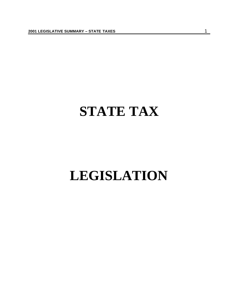## **STATE TAX**

## **LEGISLATION**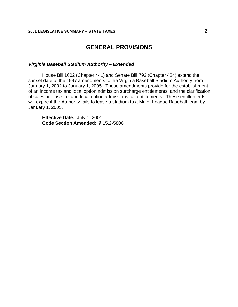#### **GENERAL PROVISIONS**

#### *Virginia Baseball Stadium Authority – Extended*

House Bill 1602 (Chapter 441) and Senate Bill 793 (Chapter 424) extend the sunset date of the 1997 amendments to the Virginia Baseball Stadium Authority from January 1, 2002 to January 1, 2005. These amendments provide for the establishment of an income tax and local option admission surcharge entitlements, and the clarification of sales and use tax and local option admissions tax entitlements. These entitlements will expire if the Authority fails to lease a stadium to a Major League Baseball team by January 1, 2005.

**Effective Date:** July 1, 2001 **Code Section Amended:** § 15.2-5806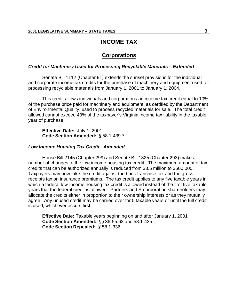#### **INCOME TAX**

#### **Corporations**

#### *Credit for Machinery Used for Processing Recyclable Materials – Extended*

Senate Bill 1112 (Chapter 91) extends the sunset provisions for the individual and corporate income tax credits for the purchase of machinery and equipment used for processing recyclable materials from January 1, 2001 to January 1, 2004.

This credit allows individuals and corporations an income tax credit equal to 10% of the purchase price paid for machinery and equipment, as certified by the Department of Environmental Quality, used to process recycled materials for sale. The total credit allowed cannot exceed 40% of the taxpayer's Virginia income tax liability in the taxable year of purchase.

**Effective Date:** July 1, 2001 **Code Section Amended:** § 58.1-439.7

#### *Low Income Housing Tax Credit– Amended*

House Bill 2145 (Chapter 299) and Senate Bill 1325 (Chapter 293) make a number of changes to the low-income housing tax credit. The maximum amount of tax credits that can be authorized annually is reduced from \$3.5 million to \$500,000. Taxpayers may now take the credit against the bank franchise tax and the gross receipts tax on insurance premiums. The tax credit applies to any five taxable years in which a federal low-income housing tax credit is allowed instead of the first five taxable years that the federal credit is allowed. Partners and S-corporation shareholders may allocate the credits either in proportion to their ownership interests or as they mutually agree. Any unused credit may be carried over for 5 taxable years or until the full credit is used, whichever occurs first.

**Effective Date:** Taxable years beginning on and after January 1, 2001 **Code Section Amended:** §§ 36-55.63 and 58.1-435 **Code Section Repealed:** § 58.1-336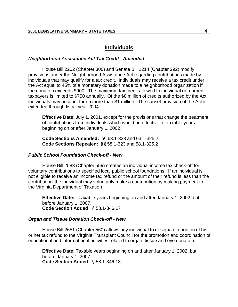#### **Individuals**

#### *Neighborhood Assistance Act Tax Credit - Amended*

House Bill 2202 (Chapter 300) and Senate Bill 1214 (Chapter 292) modify provisions under the Neighborhood Assistance Act regarding contributions made by individuals that may qualify for a tax credit. Individuals may receive a tax credit under the Act equal to 45% of a monetary donation made to a neighborhood organization if the donation exceeds \$900. The maximum tax credit allowed to individual or married taxpayers is limited to \$750 annually. Of the \$8 million of credits authorized by the Act, individuals may account for no more than \$1 million. The sunset provision of the Act is extended through fiscal year 2004.

**Effective Date:** July 1, 2001, except for the provisions that change the treatment of contributions from individuals which would be effective for taxable years beginning on or after January 1, 2002.

**Code Sections Amended:** §§ 63.1-323 and 63.1-325.2 **Code Sections Repealed:** §§ 58.1-323 and 58.1-325.2

#### *Public School Foundation Check-off - New*

House Bill 2583 (Chapter 559) creates an individual income tax check-off for voluntary contributions to specified local public school foundations. If an individual is not eligible to receive an income tax refund or the amount of their refund is less than the contribution, the individual may voluntarily make a contribution by making payment to the Virginia Department of Taxation.

**Effective Date:** Taxable years beginning on and after January 1, 2002, but before January 1, 2007. **Code Section Added:** § 58.1-346.17

#### *Organ and Tissue Donation Check-off - New*

House Bill 2651 (Chapter 560) allows any individual to designate a portion of his or her tax refund to the Virginia Transplant Council for the promotion and coordination of educational and informational activities related to organ, tissue and eye donation.

**Effective Date:** Taxable years beginning on and after January 1, 2002, but before January 1, 2007. **Code Section Added:** § 58.1-346.18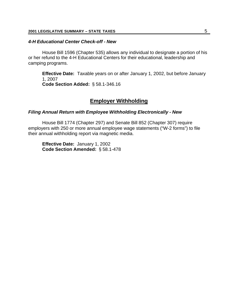#### *4-H Educational Center Check-off - New*

House Bill 1596 (Chapter 535) allows any individual to designate a portion of his or her refund to the 4-H Educational Centers for their educational, leadership and camping programs.

**Effective Date:** Taxable years on or after January 1, 2002, but before January 1, 2007 **Code Section Added:** § 58.1-346.16

#### **Employer Withholding**

#### *Filing Annual Return with Employee Withholding Electronically - New*

House Bill 1774 (Chapter 297) and Senate Bill 852 (Chapter 307) require employers with 250 or more annual employee wage statements ("W-2 forms") to file their annual withholding report via magnetic media.

**Effective Date:** January 1, 2002 **Code Section Amended:** § 58.1-478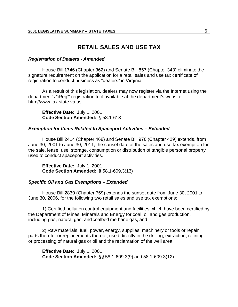#### **RETAIL SALES AND USE TAX**

#### *Registration of Dealers - Amended*

House Bill 1746 (Chapter 362) and Senate Bill 857 (Chapter 343) eliminate the signature requirement on the application for a retail sales and use tax certificate of registration to conduct business as "dealers" in Virginia.

As a result of this legislation, dealers may now register via the Internet using the department's "iReg"' registration tool available at the department's website: http://www.tax.state.va.us.

**Effective Date:** July 1, 2001 **Code Section Amended:** § 58.1-613

#### *Exemption for Items Related to Spaceport Activities – Extended*

House Bill 2414 (Chapter 468) and Senate Bill 976 (Chapter 429) extends, from June 30, 2001 to June 30, 2011, the sunset date of the sales and use tax exemption for the sale, lease, use, storage, consumption or distribution of tangible personal property used to conduct spaceport activities.

**Effective Date:** July 1, 2001 **Code Section Amended:** § 58.1-609.3(13)

#### *Specific Oil and Gas Exemptions – Extended*

House Bill 2830 (Chapter 769) extends the sunset date from June 30, 2001 to June 30, 2006, for the following two retail sales and use tax exemptions:

1) Certified pollution control equipment and facilities which have been certified by the Department of Mines, Minerals and Energy for coal, oil and gas production, including gas, natural gas, and coalbed methane gas, and

2) Raw materials, fuel, power, energy, supplies, machinery or tools or repair parts therefor or replacements thereof, used directly in the drilling, extraction, refining, or processing of natural gas or oil and the reclamation of the well area.

**Effective Date:** July 1, 2001 **Code Section Amended:** §§ 58.1-609.3(9) and 58.1-609.3(12)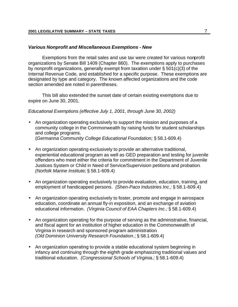#### *Various Nonprofit and Miscellaneous Exemptions - New*

Exemptions from the retail sales and use tax were created for various nonprofit organizations by Senate Bill 1409 (Chapter 860). The exemptions apply to purchases by nonprofit organizations, generally exempt from taxation under § 501(c)(3) of the Internal Revenue Code, and established for a specific purpose. These exemptions are designated by type and category. The known affected organizations and the code section amended are noted in parentheses.

This bill also extended the sunset date of certain existing exemptions due to expire on June 30, 2001.

#### *Educational Exemptions (effective July 1, 2001, through June 30, 2002)*

- An organization operating exclusively to support the mission and purposes of a community college in the Commonwealth by raising funds for student scholarships and college programs. (*Germanna Community College Educational Foundation;* § 58.1-609.4)
- An organization operating exclusively to provide an alternative traditional, experiential educational program as well as GED preparation and testing for juvenile offenders who meet either the criteria for commitment in the Department of Juvenile Justices System or Child in Need of Service/Supervision petitions and probation*. (Norfolk Marine Institute;* § 58.1-609.4)
- An organization operating exclusively to provide evaluation, education, training, and employment of handicapped persons*. (Shen-Paco Industries Inc.;* § 58.1-609.4)
- An organization operating exclusively to foster, promote and engage in aerospace education, coordinate an annual fly-in exposition, and an exchange of aviation educational information. *(Virginia Council of EAA Chapters Inc*.*;* § 58.1-609.4)
- An organization operating for the purpose of serving as the administrative, financial, and fiscal agent for an institution of higher education in the Commonwealth of Virginia in research and sponsored program administration*. (Old Dominion University Research Foundation*.; § 58.1-609.4)
- An organization operating to provide a stable educational system beginning in infancy and continuing through the eighth grade emphasizing traditional values and traditional education. *(Congressional Schools of Virginia.;* § 58.1-609.4)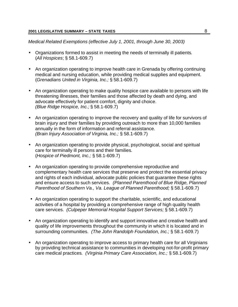*Medical Related Exemptions (effective July 1, 2001, through June 30, 2003)*

- Organizations formed to assist in meeting the needs of terminally ill patients*.* (*All Hospices*; § 58.1-609.7)
- An organization operating to improve health care in Grenada by offering continuing medical and nursing education, while providing medical supplies and equipment. (*Grenadians United in Virginia, Inc.;* § 58.1-609.7)
- An organization operating to make quality hospice care available to persons with life threatening illnesses, their families and those affected by death and dying, and advocate effectively for patient comfort, dignity and choice. *(Blue Ridge Hospice, Inc.;* § 58.1-609.7)
- An organization operating to improve the recovery and quality of life for survivors of brain injury and their families by providing outreach to more than 10,000 families annually in the form of information and referral assistance*. (Brain Injury Association of Virginia, Inc.;* § 58.1-609.7)
- An organization operating to provide physical, psychological, social and spiritual care for terminally ill persons and their families*.* (*Hospice of Piedmont, Inc.;* § 58.1-609.7)
- An organization operating to provide comprehensive reproductive and complementary health care services that preserve and protect the essential privacy and rights of each individual, advocate public policies that guarantee these rights and ensure access to such services. *(Planned Parenthood of Blue Ridge, Planned Parenthood of Southern Va., Va. League of Planned Parenthood;* § 58.1-609.7)
- An organization operating to support the charitable, scientific, and educational activities of a hospital by providing a comprehensive range of high quality health care services. *(Culpeper Memorial Hospital Support Services;* § 58.1-609.7)
- An organization operating to identify and support innovative and creative health and quality of life improvements throughout the community in which it is located and in surrounding communities. *(The John Randolph Foundation, Inc.;* § 58.1-609.7)
- An organization operating to improve access to primary health care for all Virginians by providing technical assistance to communities in developing not-for-profit primary care medical practices*. (Virginia Primary Care Association, Inc.;* § 58.1-609.7)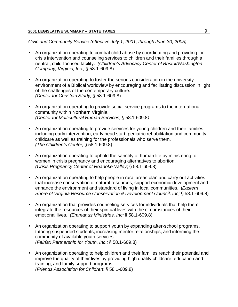*Civic and Community Service (effective July 1, 2001, through June 30, 2005)*

- An organization operating to combat child abuse by coordinating and providing for crisis intervention and counseling services to children and their families through a neutral, child-focused facility. *(Children's Advocacy Center of Bristol/Washington Company, Virginia, Inc.;* § 58.1-609.8)
- An organization operating to foster the serious consideration in the university environment of a Biblical worldview by encouraging and facilitating discussion in light of the challenges of the contemporary culture. *(Center for Christian Study;* § 58.1-609.8)
- An organization operating to provide social service programs to the international community within Northern Virginia. *(Center for Multicultural Human Services;* § 58.1-609.8*)*
- An organization operating to provide services for young children and their families, including early intervention, early head start, pediatric rehabilitation and community childcare as well as training for the professionals who serve them. *(The Children's Center;* § 58.1-609.8)
- An organization operating to uphold the sanctity of human life by ministering to women in crisis pregnancy and encouraging alternatives to abortion. *(Crisis Pregnancy Center of Roanoke Valley*; § 58.1-609.8)
- An organization operating to help people in rural areas plan and carry out activities that increase conservation of natural resources, support economic development and enhance the environment and standard of living in local communities. (*Eastern Shore of Virginia Resource Conservation & Development Council, Inc;* § 58.1-609.8)
- An organization that provides counseling services for individuals that help them integrate the resources of their spiritual lives with the circumstances of their emotional lives. *(Emmanus Ministries, Inc;* § 58.1-609.8)
- An organization operating to support youth by expanding after-school programs, tutoring suspended students, increasing mentor relationships, and informing the community of available youth services. *(Fairfax Partnership for Youth, Inc.;* § 58.1-609*.*8)
- An organization operating to help children and their families reach their potential and improve the quality of their lives by providing high quality childcare, education and training, and family support programs. *(Friends Association for Children*; § 58.1-609.8)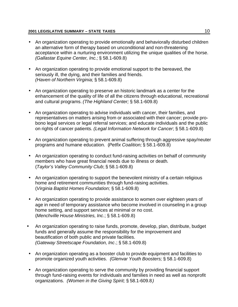- An organization operating to provide emotionally and behaviorally disturbed children an alternative form of therapy based on unconditional and non-threatening acceptance within a nurturing environment utilizing the unique qualities of the horse. *(Gallastar Equine Center, Inc.;* § 58.1-609.8)
- An organization operating to provide emotional support to the bereaved, the seriously ill, the dying, and their families and friends. *(Haven of Northern Virginia;* § 58.1-609.8)
- An organization operating to preserve an historic landmark as a center for the enhancement of the quality of life of all the citizens through educational, recreational and cultural programs. *(The Highland Center;* § 58.1-609.8)
- An organization operating to advise individuals with cancer, their families, and representatives on matters arising from or associated with their cancer; provide probono legal services or legal referral services; and educate individuals and the public on rights of cancer patients. *(Legal Information Network for Cancer*; § 58.1-609.8)
- An organization operating to prevent animal suffering through aggressive spay/neuter programs and humane education. (*Petfix Coalition;* § 58.1-609.8)
- An organization operating to conduct fund-raising activities on behalf of community members who have great financial needs due to illness or death. (*Taylor's Valley Community Club*; § 58.1-609.8)
- An organization operating to support the benevolent ministry of a certain religious home and retirement communities through fund-raising activities. (*Virginia Baptist Homes Foundation;* § 58.1-609.8)
- An organization operating to provide assistance to women over eighteen years of age in need of temporary assistance who become involved in counseling in a group home setting, and support services at minimal or no cost. (*Menchville House Ministries, Inc*.; § 58.1-609.8)
- An organization operating to raise funds, promote, develop, plan, distribute, budget funds and generally assume the responsibility for the improvement and beautification of both public and private facilities. *(Gateway Streetscape Foundation, Inc*.; § 58.1-609.8)
- An organization operating as a booster club to provide equipment and facilities to promote organized youth activities. *(Glenvar Youth Boosters;* § 58.1-609.8)
- An organization operating to serve the community by providing financial support through fund-raising events for individuals and families in need as well as nonprofit organizations. *(Women in the Giving Spirit;* § 58.1-609.8*)*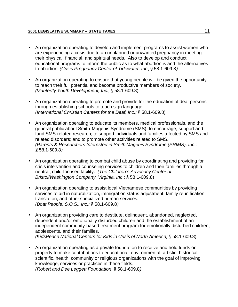- An organization operating to develop and implement programs to assist women who are experiencing a crisis due to an unplanned or unwanted pregnancy in meeting their physical, financial, and spiritual needs. Also to develop and conduct educational programs to inform the public as to what abortion is and the alternatives to abortion. *(Crisis Pregnancy Center of Tidewater, Inc*; § 58.1-609.8*)*
- An organization operating to ensure that young people will be given the opportunity to reach their full potential and become productive members of society. *(Manterfly Youth Development, Inc.;* § 58.1-609.8)
- An organization operating to promote and provide for the education of deaf persons through establishing schools to teach sign language. *(International Christian Centers for the Deaf, Inc.;* § 58.1-609.8)
- An organization operating to educate its members, medical professionals, and the general public about Smith-Magenis Syndrome (SMS); to encourage, support and fund SMS-related research; to support individuals and families affected by SMS and related disorders; and to promote other activities related to SMS. *(Parents & Researchers Interested in Smith Magenis Syndrome (PRIMS), Inc.;* § 58.1-609.8*)*
- An organization operating to combat child abuse by coordinating and providing for crisis intervention and counseling services to children and their families through a neutral, child-focused facility. *(The Children's Advocacy Center of Bristol/Washington Company, Virginia, Inc*.; § 58.1-609.8)
- An organization operating to assist local Vietnamese communities by providing services to aid in naturalization, immigration status adjustment, family reunification, translation, and other specialized human services. *(Boat People, S.O.S., Inc.;* § 58.1-609.8*)*
- An organization providing care to destitute, delinquent, abandoned, neglected, dependent and/or emotionally disturbed children and the establishment of an independent community-based treatment program for emotionally disturbed children, adolescents, and their families. *(KidsPeace National Centers for Kids in Crisis of North America;* § 58.1-609.8)
- An organization operating as a private foundation to receive and hold funds or property to make contributions to educational, environmental, artistic, historical, scientific, health, community or religious organizations with the goal of improving knowledge, services or practices in these fields. *(Robert and Dee Leggett Foundation*; § 58.1-609.8*)*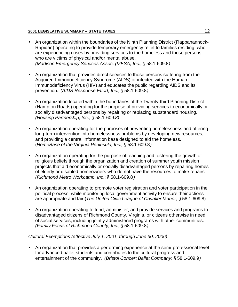- An organization within the boundaries of the Ninth Planning District (Rappahannock-Rapidan) operating to provide temporary emergency relief to families residing, who are experiencing crises by providing services to the homeless and those persons who are victims of physical and/or mental abuse. *(Madison Emergency Services Assoc. (MESA) Inc*.; § 58.1-609.8*)*
- An organization that provides direct services to those persons suffering from the Acquired Immunodeficiency Syndrome (AIDS) or infected with the Human Immunodeficiency Virus (HIV) and educates the public regarding AIDS and its prevention. *(AIDS Response Effort, Inc.;* § 58.1-609.8*)*
- An organization located within the boundaries of the Twenty-third Planning District (Hampton Roads) operating for the purpose of providing services to economically or socially disadvantaged persons by repairing or replacing substandard housing. *(Housing Partnership, Inc*.; § 58.1-609.*8)*
- An organization operating for the purposes of preventing homelessness and offering long-term intervention into homelessness problems by developing new resources, and providing a central information base designed to aid the homeless. (*HomeBase of the Virginia Peninsula, Inc.;* § 58.1-609.8*)*
- An organization operating for the purpose of teaching and fostering the growth of religious beliefs through the organization and creation of summer youth mission projects that aid economically or socially disadvantaged persons by repairing homes of elderly or disabled homeowners who do not have the resources to make repairs*. (Richmond Metro Workcamp, Inc*.; § 58.1-609.8*)*
- An organization operating to promote voter registration and voter participation in the political process; while monitoring local government activity to ensure their actions are appropriate and fair.(*The United Civic League of Cavalier Manor*; § 58.1-609.8)
- An organization operating to fund, administer, and provide services and programs to disadvantaged citizens of Richmond County, Virginia, or citizens otherwise in need of social services, including jointly administered programs with other communities. *(Family Focus of Richmond County, Inc.;* § 58.1-609.8*)*

#### *Cultural Exemptions (effective July 1, 2001, through June 30, 2006)*

• An organization that provides a performing experience at the semi-professional level for advanced ballet students and contributes to the cultural progress and entertainment of the community. *(Bristol Concert Ballet Company*; § 58.1-609.9*)*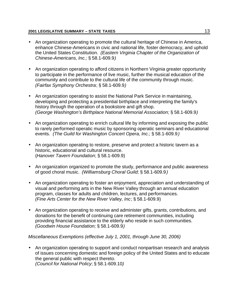- An organization operating to promote the cultural heritage of Chinese in America, enhance Chinese-Americans in civic and national life, foster democracy, and uphold the United States Constitution. *(Eastern Virginia Chapter of the Organization of Chinese-Americans, Inc.;* § 58.1-609.9*)*
- An organization operating to afford citizens in Northern Virginia greater opportunity to participate in the performance of live music, further the musical education of the community and contribute to the cultural life of the community through music. *(Fairfax Symphony Orchestra*; § 58.1-609.9*)*
- An organization operating to assist the National Park Service in maintaining, developing and protecting a presidential birthplace and interpreting the family's history through the operation of a bookstore and gift shop. *(George Washington's Birthplace National Memorial Association;* § 58.1-609.9*)*
- An organization operating to enrich cultural life by informing and exposing the public to rarely performed operatic music by sponsoring operatic seminars and educational events. *(The Guild for Washington Concert Opera, Inc.;* § 58.1-609.9*)*
- An organization operating to restore, preserve and protect a historic tavern as a historic, educational and cultural resource. (*Hanover Tavern Foundation*; § 58.1-609.9)
- An organization organized to promote the study, performance and public awareness of good choral music. *(Williamsburg Choral Guild;* § 58.1-609.9*)*
- An organization operating to foster an enjoyment, appreciation and understanding of visual and performing arts in the New River Valley through an annual education program, classes for adults and children, lectures, and performances. *(Fine Arts Center for the New River Valley, Inc*; § 58.1-609.9)
- An organization operating to receive and administer gifts, grants, contributions, and donations for the benefit of continuing care retirement communities, including providing financial assistance to the elderly who reside in such communities. *(Goodwin House Foundation;* § 58.1-609.9*)*

#### *Miscellaneous Exemptions (effective July 1, 2001, through June 30, 2006)*

• An organization operating to support and conduct nonpartisan research and analysis of issues concerning domestic and foreign policy of the United States and to educate the general public with respect thereto. *(Council for National Policy*; § 58.1-609.10*)*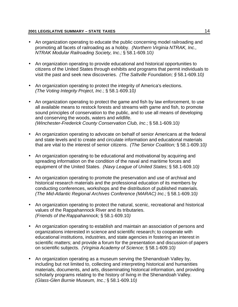- An organization operating to educate the public concerning model railroading and promoting all facets of railroading as a hobby. *(Northern Virginia NTRAK, Inc., NTRAK Modular Railroading Society, Inc.;* § 58.1-609.10*)*
- An organization operating to provide educational and historical opportunities to citizens of the United States through exhibits and programs that permit individuals to visit the past and seek new discoveries. *(The Saltville Foundation; §* 58.1-609.10*)*
- An organization operating to protect the integrity of America's elections. *(The Voting Integrity Project, Inc*.; § 58.1-609.10*)*
- An organization operating to protect the game and fish by law enforcement, to use all available means to restock forests and streams with game and fish, to promote sound principles of conservation to the public, and to use all means of developing and conserving the woods, waters and wildlife. *(Winchester-Frederick County Conservation Club, Inc*.; § 58.1-609.10*)*
- An organization operating to advocate on behalf of senior Americans at the federal and state levels and to create and circulate information and educational materials that are vital to the interest of senior citizens. *(The Senior Coalition;* § 58.1-609.10*)*
- An organization operating to be educational and motivational by acquiring and spreading information on the condition of the naval and maritime forces and equipment of the United States. *(Navy League of United States;* § 58.1-609.10*)*
- An organization operating to promote the preservation and use of archival and historical research materials and the professional education of its members by conducting conferences, workshops and the distribution of published materials. *(The Mid-Atlantic Regional Archives Conference (MARAC) Inc.;* § 58.1-609.10*)*
- An organization operating to protect the natural, scenic, recreational and historical values of the Rappahannock River and its tributaries. *(Friends of the Rappahannock;* § 58.1-609.10*)*
- An organization operating to establish and maintain an association of persons and organizations interested in science and scientific research; to cooperate with educational institutions, industries, and state agencies in fostering an interest in scientific matters; and provide a forum for the presentation and discussion of papers on scientific subjects. *(Virginia Academy of Science;* § 58.1-609.10*)*
- An organization operating as a museum serving the Shenandoah Valley by, including but not limited to, collecting and interpreting historical and humanities materials, documents, and arts, disseminating historical information, and providing scholarly programs relating to the history of living in the Shenandoah Valley. *(Glass-Glen Burnie Museum, Inc.;* § 58.1-609.10*)*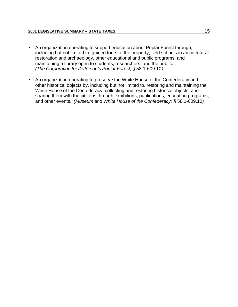- An organization operating to support education about Poplar Forest through, including but not limited to, guided tours of the property, field schools in architectural restoration and archaeology, other educational and public programs, and maintaining a library open to students, researchers, and the public. *(The Corporation for Jefferson's Poplar Forest;* § 58.1-609.10*)*
- An organization operating to preserve the White House of the Confederacy and other historical objects by, including but not limited to, restoring and maintaining the White House of the Confederacy, collecting and restoring historical objects, and sharing them with the citizens through exhibitions, publications, education programs, and other events. *(Museum and White House of the Confederacy*; § 58.1-609.10*)*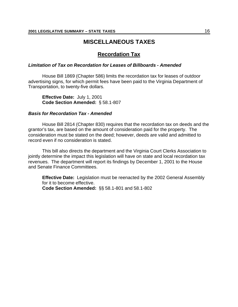#### **MISCELLANEOUS TAXES**

#### **Recordation Tax**

#### *Limitation of Tax on Recordation for Leases of Billboards - Amended*

House Bill 1869 (Chapter 586) limits the recordation tax for leases of outdoor advertising signs, for which permit fees have been paid to the Virginia Department of Transportation, to twenty-five dollars.

**Effective Date:** July 1, 2001 **Code Section Amended:** § 58.1-807

#### *Basis for Recordation Tax - Amended*

House Bill 2814 (Chapter 830) requires that the recordation tax on deeds and the grantor's tax, are based on the amount of consideration paid for the property. The consideration must be stated on the deed; however, deeds are valid and admitted to record even if no consideration is stated.

This bill also directs the department and the Virginia Court Clerks Association to jointly determine the impact this legislation will have on state and local recordation tax revenues. The department will report its findings by December 1, 2001 to the House and Senate Finance Committees.

**Effective Date:** Legislation must be reenacted by the 2002 General Assembly for it to become effective. **Code Section Amended:** §§ 58.1-801 and 58.1-802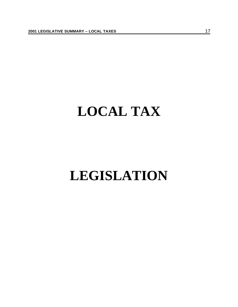## **LOCAL TAX**

## **LEGISLATION**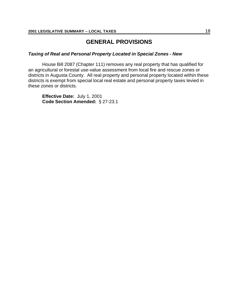#### **GENERAL PROVISIONS**

#### *Taxing of Real and Personal Property Located in Special Zones - New*

House Bill 2087 (Chapter 111) removes any real property that has qualified for an agricultural or forestal use-value assessment from local fire and rescue zones or districts in Augusta County. All real property and personal property located within these districts is exempt from special local real estate and personal property taxes levied in these zones or districts.

**Effective Date:** July 1, 2001 **Code Section Amended:** § 27-23.1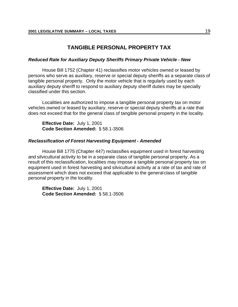#### **TANGIBLE PERSONAL PROPERTY TAX**

#### *Reduced Rate for Auxiliary Deputy Sheriffs Primary Private Vehicle - New*

House Bill 1752 (Chapter 41) reclassifies motor vehicles owned or leased by persons who serve as auxiliary, reserve or special deputy sheriffs as a separate class of tangible personal property. Only the motor vehicle that is regularly used by each auxiliary deputy sheriff to respond to auxiliary deputy sheriff duties may be specially classified under this section.

Localities are authorized to impose a tangible personal property tax on motor vehicles owned or leased by auxiliary, reserve or special deputy sheriffs at a rate that does not exceed that for the general class of tangible personal property in the locality.

**Effective Date:** July 1, 2001 **Code Section Amended:** § 58.1-3506

#### *Reclassification of Forest Harvesting Equipment - Amended*

House Bill 1775 (Chapter 447) reclassifies equipment used in forest harvesting and silvicultural activity to be in a separate class of tangible personal property. As a result of this reclassification, localities may impose a tangible personal property tax on equipment used in forest harvesting and silvicultural activity at a rate of tax and rate of assessment which does not exceed that applicable to the general class of tangible personal property in the locality.

**Effective Date:** July 1, 2001 **Code Section Amended:** § 58.1-3506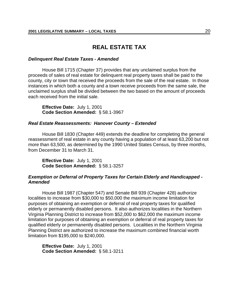#### **REAL ESTATE TAX**

#### *Delinquent Real Estate Taxes - Amended*

House Bill 1715 (Chapter 37) provides that any unclaimed surplus from the proceeds of sales of real estate for delinquent real property taxes shall be paid to the county, city or town that received the proceeds from the sale of the real estate. In those instances in which both a county and a town receive proceeds from the same sale, the unclaimed surplus shall be divided between the two based on the amount of proceeds each received from the initial sale.

**Effective Date:** July 1, 2001 **Code Section Amended:** § 58.1-3967

#### *Real Estate Reassessments: Hanover County – Extended*

House Bill 1830 (Chapter 449) extends the deadline for completing the general reassessment of real estate in any county having a population of at least 63,200 but not more than 63,500, as determined by the 1990 United States Census, by three months, from December 31 to March 31.

**Effective Date:** July 1, 2001 **Code Section Amended:** § 58.1-3257

#### *Exemption or Deferral of Property Taxes for Certain Elderly and Handicapped - Amended*

House Bill 1987 (Chapter 547) and Senate Bill 939 (Chapter 428) authorize localities to increase from \$30,000 to \$50,000 the maximum income limitation for purposes of obtaining an exemption or deferral of real property taxes for qualified elderly or permanently disabled persons. It also authorizes localities in the Northern Virginia Planning District to increase from \$52,000 to \$62,000 the maximum income limitation for purposes of obtaining an exemption or deferral of real property taxes for qualified elderly or permanently disabled persons. Localities in the Northern Virginia Planning District are authorized to increase the maximum combined financial worth limitation from \$195,000 to \$240,000.

**Effective Date:** July 1, 2001 **Code Section Amended:** § 58.1-3211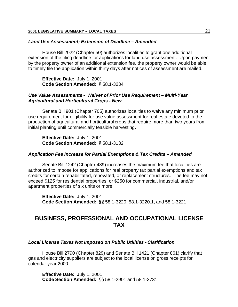#### *Land Use Assessment; Extension of Deadline – Amended*

House Bill 2022 (Chapter 50) authorizes localities to grant one additional extension of the filing deadline for applications for land use assessment. Upon payment by the property owner of an additional extension fee, the property owner would be able to timely file the application within thirty days after notices of assessment are mailed.

**Effective Date:** July 1, 2001 **Code Section Amended:** § 58.1-3234

#### *Use Value Assessments - Waiver of Prior Use Requirement – Multi-Year Agricultural and Horticultural Crops - New*

Senate Bill 901 (Chapter 705) authorizes localities to waive any minimum prior use requirement for eligibility for use value assessment for real estate devoted to the production of agricultural and horticultural crops that require more than two years from initial planting until commercially feasible harvesting*.*

**Effective Date:** July 1, 2001 **Code Section Amended:** § 58.1-3132

#### *Application Fee Increase for Partial Exemptions & Tax Credits – Amended*

Senate Bill 1242 (Chapter 489) increases the maximum fee that localities are authorized to impose for applications for real property tax partial exemptions and tax credits for certain rehabilitated, renovated, or replacement structures. The fee may not exceed \$125 for residential properties, or \$250 for commercial, industrial, and/or apartment properties of six units or more.

**Effective Date:** July 1, 2001 **Code Section Amended:** §§ 58.1-3220, 58.1-3220.1, and 58.1-3221

#### **BUSINESS, PROFESSIONAL AND OCCUPATIONAL LICENSE TAX**

#### *Local License Taxes Not Imposed on Public Utilities - Clarification*

House Bill 2790 (Chapter 829) and Senate Bill 1421 (Chapter 861) clarify that gas and electricity suppliers are subject to the local license on gross receipts for calendar year 2000.

**Effective Date:** July 1, 2001 **Code Section Amended:** §§ 58.1-2901 and 58.1-3731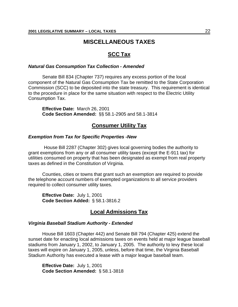#### **MISCELLANEOUS TAXES**

#### **SCC Tax**

#### *Natural Gas Consumption Tax Collection - Amended*

Senate Bill 834 (Chapter 737) requires any excess portion of the local component of the Natural Gas Consumption Tax be remitted to the State Corporation Commission (SCC) to be deposited into the state treasury. This requirement is identical to the procedure in place for the same situation with respect to the Electric Utility Consumption Tax.

**Effective Date:** March 26, 2001 **Code Section Amended:** §§ 58.1-2905 and 58.1-3814

#### **Consumer Utility Tax**

#### *Exemption from Tax for Specific Properties -New*

House Bill 2287 (Chapter 302) gives local governing bodies the authority to grant exemptions from any or all consumer utility taxes (except the E-911 tax) for utilities consumed on property that has been designated as exempt from real property taxes as defined in the Constitution of Virginia.

Counties, cities or towns that grant such an exemption are required to provide the telephone account numbers of exempted organizations to all service providers required to collect consumer utility taxes.

**Effective Date:** July 1, 2001 **Code Section Added:** § 58.1-3816.2

#### **Local Admissions Tax**

#### *Virginia Baseball Stadium Authority - Extended*

House Bill 1603 (Chapter 442) and Senate Bill 794 (Chapter 425) extend the sunset date for enacting local admissions taxes on events held at major league baseball stadiums from January 1, 2002, to January 1, 2005. The authority to levy these local taxes will expire on January 1, 2005, unless, before that time, the Virginia Baseball Stadium Authority has executed a lease with a major league baseball team.

**Effective Date:** July 1, 2001 **Code Section Amended:** § 58.1-3818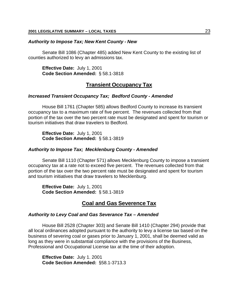#### *Authority to Impose Tax; New Kent County - New*

Senate Bill 1086 (Chapter 485) added New Kent County to the existing list of counties authorized to levy an admissions tax.

**Effective Date:** July 1, 2001 **Code Section Amended:** § 58.1-3818

#### **Transient Occupancy Tax**

#### *Increased Transient Occupancy Tax; Bedford County - Amended*

House Bill 1761 (Chapter 585) allows Bedford County to increase its transient occupancy tax to a maximum rate of five percent. The revenues collected from that portion of the tax over the two percent rate must be designated and spent for tourism or tourism initiatives that draw travelers to Bedford.

**Effective Date:** July 1, 2001 **Code Section Amended:** § 58.1-3819

#### *Authority to Impose Tax; Mecklenburg County - Amended*

Senate Bill 1110 (Chapter 571) allows Mecklenburg County to impose a transient occupancy tax at a rate not to exceed five percent. The revenues collected from that portion of the tax over the two percent rate must be designated and spent for tourism and tourism initiatives that draw travelers to Mecklenburg.

**Effective Date:** July 1, 2001 **Code Section Amended:** § 58.1-3819

#### **Coal and Gas Severence Tax**

#### *Authority to Levy Coal and Gas Severance Tax – Amended*

House Bill 2528 (Chapter 303) and Senate Bill 1410 (Chapter 294) provide that all local ordinances adopted pursuant to the authority to levy a license tax based on the business of severing coal or gases prior to January 1, 2001, shall be deemed valid as long as they were in substantial compliance with the provisions of the Business, Professional and Occupational License tax at the time of their adoption.

**Effective Date:** July 1. 2001 **Code Section Amended:** §58.1-3713.3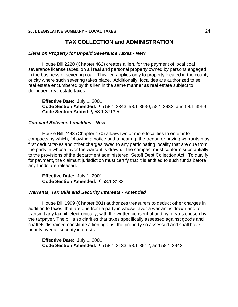#### **TAX COLLECTION and ADMINISTRATION**

#### *Liens on Property for Unpaid Severance Taxes - New*

House Bill 2220 (Chapter 462) creates a lien, for the payment of local coal severance license taxes, on all real and personal property owned by persons engaged in the business of severing coal. This lien applies only to property located in the county or city where such severing takes place. Additionally, localities are authorized to sell real estate encumbered by this lien in the same manner as real estate subject to delinquent real estate taxes.

**Effective Date:** July 1, 2001 **Code Section Amended:** §§ 58.1-3343, 58.1-3930, 58.1-3932, and 58.1-3959 **Code Section Added:** § 58.1-3713.5

#### *Compact Between Localities - New*

House Bill 2443 (Chapter 470) allows two or more localities to enter into compacts by which, following a notice and a hearing, the treasurer paying warrants may first deduct taxes and other charges owed to any participating locality that are due from the party in whose favor the warrant is drawn. The compact must conform substantially to the provisions of the department administered, Setoff Debt Collection Act. To qualify for payment, the claimant jurisdiction must certify that it is entitled to such funds before any funds are released.

**Effective Date:** July 1, 2001 **Code Section Amended:** § 58.1-3133

#### *Warrants, Tax Bills and Security Interests - Amended*

House Bill 1999 (Chapter 801) authorizes treasurers to deduct other charges in addition to taxes, that are due from a party in whose favor a warrant is drawn and to transmit any tax bill electronically, with the written consent of and by means chosen by the taxpayer. The bill also clarifies that taxes specifically assessed against goods and chattels distrained constitute a lien against the property so assessed and shall have priority over all security interests.

**Effective Date:** July 1, 2001 **Code Section Amended:** §§ 58.1-3133, 58.1-3912, and 58.1-3942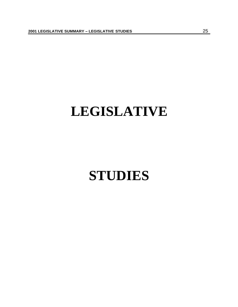## **LEGISLATIVE**

## **STUDIES**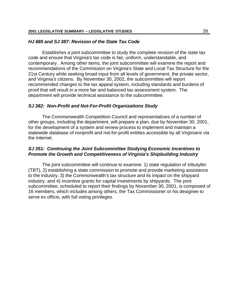#### *HJ 685 and SJ 387: Revision of the State Tax Code*

Establishes a joint subcommittee to study the complete revision of the state tax code and ensure that Virginia's tax code is fair, uniform, understandable, and contemporary. Among other items, the joint subcommittee will examine the report and recommendations of the Commission on Virginia's State and Local Tax Structure for the 21st Century while seeking broad input from all levels of government, the private sector, and Virginia's citizens. By November 30, 2002, the subcommittee will report recommended changes to the tax appeal system, including standards and burdens of proof that will result in a more fair and balanced tax assessment system. The department will provide technical assistance to the subcommittee.

#### *SJ 382: Non-Profit and Not-For-Profit Organizations Study*

The Commonwealth Competition Council and representatives of a number of other groups, including the department, will prepare a plan, due by November 30, 2001, for the development of a system and review process to implement and maintain a statewide database of nonprofit and not-for-profit entities accessible by all Virginians via the Internet.

#### *SJ 351: Continuing the Joint Subcommittee Studying Economic Incentives to Promote the Growth and Competitiveness of Virginia's Shipbuilding Industry*

The joint subcommittee will continue to examine: 1) state regulation of tributyltin (TBT), 2) establishing a state commission to promote and provide marketing assistance to the industry, 3) the Commonwealth's tax structure and its impact on the shipyard industry, and 4) incentive grants for capital investments by shipyards. The joint subcommittee, scheduled to report their findings by November 30, 2001, is composed of 16 members, which includes among others, the Tax Commissioner or his designee to serve ex officio, with full voting privileges.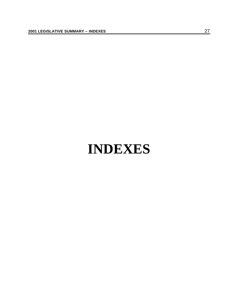## **INDEXES**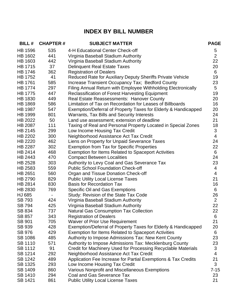### **INDEX BY BILL NUMBER**

| <b>BILL#</b>   | <b>CHAPTER#</b> | <b>SUBJECT MATTER</b>                                          | <b>PAGE</b>    |
|----------------|-----------------|----------------------------------------------------------------|----------------|
| <b>HB 1596</b> | 535             | 4-H Educational Center Check-off                               | 5              |
| <b>HB 1602</b> | 441             | Virginia Baseball Stadium Authority                            | $\overline{2}$ |
| HB 1603        | 442             | Virginia Baseball Stadium Authority                            | 22             |
| HB 1715        | 37              | <b>Delinquent Real Estate Taxes</b>                            | 20             |
| HB 1746        | 362             | <b>Registration of Dealers</b>                                 | 6              |
| HB 1752        | 41              | Reduced Rate for Auxiliary Deputy Sheriffs Private Vehicle     | 19             |
| <b>HB 1761</b> | 585             | Increase Transient Occupancy Tax; Bedford County               | 23             |
| HB 1774        | 297             | Filing Annual Return with Employee Withholding Electronically  | 5              |
| <b>HB 1775</b> | 447             | <b>Reclassification of Forest Harvesting Equipment</b>         | 19             |
| HB 1830        | 449             | Real Estate Reassessments: Hanover County                      | 20             |
| HB 1869        | 586             | Limitation of Tax on Recordation for Leases of Billboards      | 16             |
| <b>HB 1987</b> | 547             | Exemption/Deferral of Property Taxes for Elderly & Handicapped | 20             |
| HB 1999        | 801             | <b>Warrants, Tax Bills and Security Interests</b>              | 24             |
| HB 2022        | 50              | Land use assessment; extension of deadline                     | 21             |
| <b>HB 2087</b> | 111             | Taxing of Real and Personal Property Located in Special Zones  | 18             |
| HB 2145        | 299             | Low Income Housing Tax Credit                                  | 3              |
| HB 2202        | 300             | Neighborhood Assistance Act Tax Credit                         | 4              |
| HB 2220        | 462             | Liens on Property for Unpaid Severance Taxes                   | 24             |
| HB 2287        | 302             | <b>Exemption from Tax for Specific Properties</b>              | 22             |
| HB 2414        | 468             | <b>Exemption for Items Related to Spaceport Activities</b>     | 6              |
| HB 2443        | 470             | <b>Compact Between Localities</b>                              | 24             |
| HB 2528        | 303             | Authority to Levy Coal and Gas Severance Tax                   | 23             |
| HB 2583        | 559             | <b>Public School Foundation Check-off</b>                      | 4              |
| HB 2651        | 560             | Organ and Tissue Donation Check-off                            | 4              |
| HB 2790        | 829             | <b>Public Utility Local License Taxes</b>                      | 21             |
| HB 2814        | 830             | <b>Basis for Recordation Tax</b>                               | 16             |
| HB 2830        | 769             | <b>Specific Oil and Gas Exemptions</b>                         | 6              |
| HJ 685         |                 | Study: Revision of the State Tax Code                          | 26             |
| SB 793         | 424             | Virginia Baseball Stadium Authority                            | $\overline{2}$ |
| SB 794         | 425             | Virginia Baseball Stadium Authority                            | 22             |
| SB 834         | 737             | <b>Natural Gas Consumption Tax Collection</b>                  | 22             |
| SB 857         | 343             | <b>Registration of Dealers</b>                                 | 6              |
| <b>SB 901</b>  | 705             | <b>Waiver of Prior Use Requirement</b>                         | 21             |
| SB 939         | 428             | Exemption/Deferral of Property Taxes for Elderly & Handicapped | 20             |
| <b>SB 976</b>  | 429             | Exemption for Items Related to Spaceport Activities            | 6              |
| <b>SB 1086</b> | 485             | Authority to Impose Admissions Tax: New Kent County            | 23             |
| <b>SB 1110</b> | 571             | Authority to Impose Admissions Tax: Mecklenburg County         | 23             |
| <b>SB 1112</b> | 91              | Credit for Machinery Used for Processing Recyclable Materials  | 3              |
| SB 1214        | 292             | Neighborhood Assistance Act Tax Credit                         | 4              |
| SB 1242        | 489             | Application Fee Increase for Partial Exemptions & Tax Credits  | 21             |
| SB 1325        | 293             | Low Income Housing Tax Credit                                  | 3              |
| SB 1409        | 860             | Various Nonprofit and Miscellaneous Exemptions                 | $7 - 15$       |
| <b>SB 1410</b> | 294             | Coal and Gas Severance Tax                                     | 23             |
| SB 1421        | 861             | <b>Public Utility Local License Taxes</b>                      | 21             |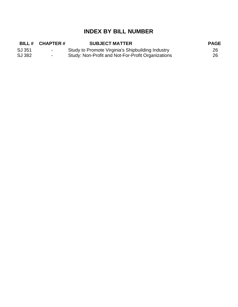### **INDEX BY BILL NUMBER**

|        | BILL# CHAPTER#   | <b>SUBJECT MATTER</b>                              | <b>PAGE</b> |
|--------|------------------|----------------------------------------------------|-------------|
| SJ 351 | $\sim$ 100 $\mu$ | Study to Promote Virginia's Shipbuilding Industry  | 26          |
| SJ 382 | $\sim$           | Study: Non-Profit and Not-For-Profit Organizations | 26          |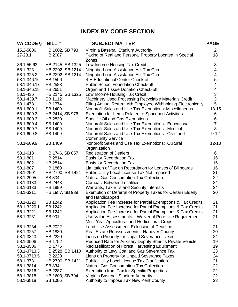### **INDEX BY CODE SECTION**

| 15.2-5806<br>HB 1602, SB 793<br>Virginia Baseball Stadium Authority<br>$\overline{2}$<br>$27 - 23.1$<br>Taxing of Real and Personal Property Located in Special<br>18<br><b>HB 2087</b><br>Zones<br>HB 2145, SB 1325<br>Low Income Housing Tax Credit<br>3<br>36.1-55.63<br>58.1-323<br>HB 2202, SB 1214<br>Neighborhood Assistance Act Tax Credit<br>4<br>HB 2202, SB 1214<br>4<br>58.1-325.2<br>Neighborhood Assistance Act Tax Credit<br>5<br>58.1-346.16<br><b>HB 1596</b><br>4-H Educational Center Check-off<br>4<br>58.1-346.17<br>HB 2583<br><b>Public School Foundation Check-off</b><br>$\overline{\mathcal{A}}$<br>58.1-346.18<br>HB 2651<br>Organ and Tissue Donation Check-off<br>3<br>HB 2145, SB 1325<br>Low Income Housing Tax Credit<br>58.1-435<br>3<br>Machinery Used Processing Recyclable Materials Credit<br>58.1-439.7<br>SB 1112<br>5<br>Filing Annual Return with Employee Withholding Electronically<br>58.1-478<br>HB 1774<br>Nonprofit Sales and Use Tax Exemptions: Miscellaneous<br>$13 - 15$<br>58.1-609.1<br>SB 1409<br>HB 2414, SB 976<br><b>Exemption for Items Related to Spaceport Activities</b><br>58.1-609.3<br>6<br>6<br>HB 2830<br>Specific Oil and Gas Exemptions<br>58.1-609.3<br>$\overline{7}$<br>Nonprofit Sales and Use Tax Exemptions: Educational<br>58.1-609.4<br>SB 1409<br>Nonprofit Sales and Use Tax Exemptions: Medical<br>8<br>58.1-609.7<br>SB 1409<br>$9 - 12$<br>58.1-609.8<br>SB 1409<br>Nonprofit Sales and Use Tax Exemptions: Civic and<br><b>Community Service</b><br>$12 - 13$<br>58.1-609.9<br>SB 1409<br>Nonprofit Sales and Use Tax Exemptions: Cultural<br>Organization<br>HB 1746, SB 857<br><b>Registration of Dealers</b><br>58.1-613<br>6<br><b>Basis for Recordation Tax</b><br>58.1-801<br><b>HB 2814</b><br>16<br>58.1-802<br><b>HB 2814</b><br><b>Basis for Recordation Tax</b><br>16<br>58.1-807<br><b>HB 1869</b><br>Limitation of Tax on Recordation for Leases of Billboards<br>16<br>21<br>58.1-2901<br>HB 2790, SB 1421<br>Public Utility Local License Tax Not Imposed<br>Natural Gas Consumption Tax Collection<br>22<br>58.1-2905<br>SB 834<br>24<br><b>Compact Between Localities</b><br>58.1-3133<br>HB 2443<br>24<br>Warrants, Tax Bills and Security Interests<br>58.1-3133<br>HB 1999<br>20<br>Exemption or Deferral of Property Taxes for Certain Elderly<br>58.1-3211<br>HB 1987, SB 939<br>and Handicapped<br>Application Fee Increase for Partial Exemptions & Tax Credits<br><b>SB 1242</b><br>21<br>58.1-3220<br>Application Fee Increase for Partial Exemptions & Tax Credits<br>21<br>58.1-3220.1<br>SB 1242<br>21<br>58.1-3221<br>SB 1242<br>Application Fee Increase for Partial Exemptions & Tax Credits<br>58.1-3231<br>SB 901<br>Use Value Assessments - Waiver of Prior Use Requirement -<br>21<br>Multi-Year Agricultural and Horticultural Crops<br>58.1-3234<br>HB 2022<br>Land Use Assessment; Extension of Deadline<br>21<br>HB 1830<br>20<br>58.1-3257<br>Real Estate Reassessments: Hanover County<br>Liens on Property for Unpaid Severance Taxes<br>58.1-3343<br><b>HB 2220</b><br>24<br>Reduced Rate for Auxiliary Deputy Sheriffs Private Vehicle<br>19<br>58.1-3506<br><b>HB 1752</b><br>58.1-3506<br><b>HB 1775</b><br>Reclassification of Forest Harvesting Equipment<br>19<br>HB 2528, SB 1410<br>23<br>58.1-3713.3<br>Authority to Levy Coal and Gas Severance Tax<br>58.1-3713.5<br><b>HB 2220</b><br>Liens on Property for Unpaid Severance Taxes<br>24<br>21<br><b>Public Utility Local License Tax Clarification</b><br>58.1-3731<br>HB 2790, SB 1421<br><b>Natural Gas Consumption Tax Collection</b><br>22<br>58.1-3814<br>SB 834<br><b>HB 2287</b><br><b>Exemption from Tax for Specific Properties</b><br>22<br>58.1-3816.2<br>Virginia Baseball Stadium Authority<br>22<br>58.1-3818<br>HB 1603, SB 794 | VA CODE § | <b>BILL#</b> | <b>SUBJECT MATTER</b>                   | <b>PAGE</b> |
|-------------------------------------------------------------------------------------------------------------------------------------------------------------------------------------------------------------------------------------------------------------------------------------------------------------------------------------------------------------------------------------------------------------------------------------------------------------------------------------------------------------------------------------------------------------------------------------------------------------------------------------------------------------------------------------------------------------------------------------------------------------------------------------------------------------------------------------------------------------------------------------------------------------------------------------------------------------------------------------------------------------------------------------------------------------------------------------------------------------------------------------------------------------------------------------------------------------------------------------------------------------------------------------------------------------------------------------------------------------------------------------------------------------------------------------------------------------------------------------------------------------------------------------------------------------------------------------------------------------------------------------------------------------------------------------------------------------------------------------------------------------------------------------------------------------------------------------------------------------------------------------------------------------------------------------------------------------------------------------------------------------------------------------------------------------------------------------------------------------------------------------------------------------------------------------------------------------------------------------------------------------------------------------------------------------------------------------------------------------------------------------------------------------------------------------------------------------------------------------------------------------------------------------------------------------------------------------------------------------------------------------------------------------------------------------------------------------------------------------------------------------------------------------------------------------------------------------------------------------------------------------------------------------------------------------------------------------------------------------------------------------------------------------------------------------------------------------------------------------------------------------------------------------------------------------------------------------------------------------------------------------------------------------------------------------------------------------------------------------------------------------------------------------------------------------------------------------------------------------------------------------------------------------------------------------------------------------------------------------------------------------------------------------------------------------------------------------------------------------------------------------------------------------------------------------------------------------------|-----------|--------------|-----------------------------------------|-------------|
|                                                                                                                                                                                                                                                                                                                                                                                                                                                                                                                                                                                                                                                                                                                                                                                                                                                                                                                                                                                                                                                                                                                                                                                                                                                                                                                                                                                                                                                                                                                                                                                                                                                                                                                                                                                                                                                                                                                                                                                                                                                                                                                                                                                                                                                                                                                                                                                                                                                                                                                                                                                                                                                                                                                                                                                                                                                                                                                                                                                                                                                                                                                                                                                                                                                                                                                                                                                                                                                                                                                                                                                                                                                                                                                                                                                                                                           |           |              |                                         |             |
|                                                                                                                                                                                                                                                                                                                                                                                                                                                                                                                                                                                                                                                                                                                                                                                                                                                                                                                                                                                                                                                                                                                                                                                                                                                                                                                                                                                                                                                                                                                                                                                                                                                                                                                                                                                                                                                                                                                                                                                                                                                                                                                                                                                                                                                                                                                                                                                                                                                                                                                                                                                                                                                                                                                                                                                                                                                                                                                                                                                                                                                                                                                                                                                                                                                                                                                                                                                                                                                                                                                                                                                                                                                                                                                                                                                                                                           |           |              |                                         |             |
|                                                                                                                                                                                                                                                                                                                                                                                                                                                                                                                                                                                                                                                                                                                                                                                                                                                                                                                                                                                                                                                                                                                                                                                                                                                                                                                                                                                                                                                                                                                                                                                                                                                                                                                                                                                                                                                                                                                                                                                                                                                                                                                                                                                                                                                                                                                                                                                                                                                                                                                                                                                                                                                                                                                                                                                                                                                                                                                                                                                                                                                                                                                                                                                                                                                                                                                                                                                                                                                                                                                                                                                                                                                                                                                                                                                                                                           |           |              |                                         |             |
|                                                                                                                                                                                                                                                                                                                                                                                                                                                                                                                                                                                                                                                                                                                                                                                                                                                                                                                                                                                                                                                                                                                                                                                                                                                                                                                                                                                                                                                                                                                                                                                                                                                                                                                                                                                                                                                                                                                                                                                                                                                                                                                                                                                                                                                                                                                                                                                                                                                                                                                                                                                                                                                                                                                                                                                                                                                                                                                                                                                                                                                                                                                                                                                                                                                                                                                                                                                                                                                                                                                                                                                                                                                                                                                                                                                                                                           |           |              |                                         |             |
|                                                                                                                                                                                                                                                                                                                                                                                                                                                                                                                                                                                                                                                                                                                                                                                                                                                                                                                                                                                                                                                                                                                                                                                                                                                                                                                                                                                                                                                                                                                                                                                                                                                                                                                                                                                                                                                                                                                                                                                                                                                                                                                                                                                                                                                                                                                                                                                                                                                                                                                                                                                                                                                                                                                                                                                                                                                                                                                                                                                                                                                                                                                                                                                                                                                                                                                                                                                                                                                                                                                                                                                                                                                                                                                                                                                                                                           |           |              |                                         |             |
|                                                                                                                                                                                                                                                                                                                                                                                                                                                                                                                                                                                                                                                                                                                                                                                                                                                                                                                                                                                                                                                                                                                                                                                                                                                                                                                                                                                                                                                                                                                                                                                                                                                                                                                                                                                                                                                                                                                                                                                                                                                                                                                                                                                                                                                                                                                                                                                                                                                                                                                                                                                                                                                                                                                                                                                                                                                                                                                                                                                                                                                                                                                                                                                                                                                                                                                                                                                                                                                                                                                                                                                                                                                                                                                                                                                                                                           |           |              |                                         |             |
|                                                                                                                                                                                                                                                                                                                                                                                                                                                                                                                                                                                                                                                                                                                                                                                                                                                                                                                                                                                                                                                                                                                                                                                                                                                                                                                                                                                                                                                                                                                                                                                                                                                                                                                                                                                                                                                                                                                                                                                                                                                                                                                                                                                                                                                                                                                                                                                                                                                                                                                                                                                                                                                                                                                                                                                                                                                                                                                                                                                                                                                                                                                                                                                                                                                                                                                                                                                                                                                                                                                                                                                                                                                                                                                                                                                                                                           |           |              |                                         |             |
|                                                                                                                                                                                                                                                                                                                                                                                                                                                                                                                                                                                                                                                                                                                                                                                                                                                                                                                                                                                                                                                                                                                                                                                                                                                                                                                                                                                                                                                                                                                                                                                                                                                                                                                                                                                                                                                                                                                                                                                                                                                                                                                                                                                                                                                                                                                                                                                                                                                                                                                                                                                                                                                                                                                                                                                                                                                                                                                                                                                                                                                                                                                                                                                                                                                                                                                                                                                                                                                                                                                                                                                                                                                                                                                                                                                                                                           |           |              |                                         |             |
|                                                                                                                                                                                                                                                                                                                                                                                                                                                                                                                                                                                                                                                                                                                                                                                                                                                                                                                                                                                                                                                                                                                                                                                                                                                                                                                                                                                                                                                                                                                                                                                                                                                                                                                                                                                                                                                                                                                                                                                                                                                                                                                                                                                                                                                                                                                                                                                                                                                                                                                                                                                                                                                                                                                                                                                                                                                                                                                                                                                                                                                                                                                                                                                                                                                                                                                                                                                                                                                                                                                                                                                                                                                                                                                                                                                                                                           |           |              |                                         |             |
|                                                                                                                                                                                                                                                                                                                                                                                                                                                                                                                                                                                                                                                                                                                                                                                                                                                                                                                                                                                                                                                                                                                                                                                                                                                                                                                                                                                                                                                                                                                                                                                                                                                                                                                                                                                                                                                                                                                                                                                                                                                                                                                                                                                                                                                                                                                                                                                                                                                                                                                                                                                                                                                                                                                                                                                                                                                                                                                                                                                                                                                                                                                                                                                                                                                                                                                                                                                                                                                                                                                                                                                                                                                                                                                                                                                                                                           |           |              |                                         |             |
|                                                                                                                                                                                                                                                                                                                                                                                                                                                                                                                                                                                                                                                                                                                                                                                                                                                                                                                                                                                                                                                                                                                                                                                                                                                                                                                                                                                                                                                                                                                                                                                                                                                                                                                                                                                                                                                                                                                                                                                                                                                                                                                                                                                                                                                                                                                                                                                                                                                                                                                                                                                                                                                                                                                                                                                                                                                                                                                                                                                                                                                                                                                                                                                                                                                                                                                                                                                                                                                                                                                                                                                                                                                                                                                                                                                                                                           |           |              |                                         |             |
|                                                                                                                                                                                                                                                                                                                                                                                                                                                                                                                                                                                                                                                                                                                                                                                                                                                                                                                                                                                                                                                                                                                                                                                                                                                                                                                                                                                                                                                                                                                                                                                                                                                                                                                                                                                                                                                                                                                                                                                                                                                                                                                                                                                                                                                                                                                                                                                                                                                                                                                                                                                                                                                                                                                                                                                                                                                                                                                                                                                                                                                                                                                                                                                                                                                                                                                                                                                                                                                                                                                                                                                                                                                                                                                                                                                                                                           |           |              |                                         |             |
|                                                                                                                                                                                                                                                                                                                                                                                                                                                                                                                                                                                                                                                                                                                                                                                                                                                                                                                                                                                                                                                                                                                                                                                                                                                                                                                                                                                                                                                                                                                                                                                                                                                                                                                                                                                                                                                                                                                                                                                                                                                                                                                                                                                                                                                                                                                                                                                                                                                                                                                                                                                                                                                                                                                                                                                                                                                                                                                                                                                                                                                                                                                                                                                                                                                                                                                                                                                                                                                                                                                                                                                                                                                                                                                                                                                                                                           |           |              |                                         |             |
|                                                                                                                                                                                                                                                                                                                                                                                                                                                                                                                                                                                                                                                                                                                                                                                                                                                                                                                                                                                                                                                                                                                                                                                                                                                                                                                                                                                                                                                                                                                                                                                                                                                                                                                                                                                                                                                                                                                                                                                                                                                                                                                                                                                                                                                                                                                                                                                                                                                                                                                                                                                                                                                                                                                                                                                                                                                                                                                                                                                                                                                                                                                                                                                                                                                                                                                                                                                                                                                                                                                                                                                                                                                                                                                                                                                                                                           |           |              |                                         |             |
|                                                                                                                                                                                                                                                                                                                                                                                                                                                                                                                                                                                                                                                                                                                                                                                                                                                                                                                                                                                                                                                                                                                                                                                                                                                                                                                                                                                                                                                                                                                                                                                                                                                                                                                                                                                                                                                                                                                                                                                                                                                                                                                                                                                                                                                                                                                                                                                                                                                                                                                                                                                                                                                                                                                                                                                                                                                                                                                                                                                                                                                                                                                                                                                                                                                                                                                                                                                                                                                                                                                                                                                                                                                                                                                                                                                                                                           |           |              |                                         |             |
|                                                                                                                                                                                                                                                                                                                                                                                                                                                                                                                                                                                                                                                                                                                                                                                                                                                                                                                                                                                                                                                                                                                                                                                                                                                                                                                                                                                                                                                                                                                                                                                                                                                                                                                                                                                                                                                                                                                                                                                                                                                                                                                                                                                                                                                                                                                                                                                                                                                                                                                                                                                                                                                                                                                                                                                                                                                                                                                                                                                                                                                                                                                                                                                                                                                                                                                                                                                                                                                                                                                                                                                                                                                                                                                                                                                                                                           |           |              |                                         |             |
|                                                                                                                                                                                                                                                                                                                                                                                                                                                                                                                                                                                                                                                                                                                                                                                                                                                                                                                                                                                                                                                                                                                                                                                                                                                                                                                                                                                                                                                                                                                                                                                                                                                                                                                                                                                                                                                                                                                                                                                                                                                                                                                                                                                                                                                                                                                                                                                                                                                                                                                                                                                                                                                                                                                                                                                                                                                                                                                                                                                                                                                                                                                                                                                                                                                                                                                                                                                                                                                                                                                                                                                                                                                                                                                                                                                                                                           |           |              |                                         |             |
|                                                                                                                                                                                                                                                                                                                                                                                                                                                                                                                                                                                                                                                                                                                                                                                                                                                                                                                                                                                                                                                                                                                                                                                                                                                                                                                                                                                                                                                                                                                                                                                                                                                                                                                                                                                                                                                                                                                                                                                                                                                                                                                                                                                                                                                                                                                                                                                                                                                                                                                                                                                                                                                                                                                                                                                                                                                                                                                                                                                                                                                                                                                                                                                                                                                                                                                                                                                                                                                                                                                                                                                                                                                                                                                                                                                                                                           |           |              |                                         |             |
|                                                                                                                                                                                                                                                                                                                                                                                                                                                                                                                                                                                                                                                                                                                                                                                                                                                                                                                                                                                                                                                                                                                                                                                                                                                                                                                                                                                                                                                                                                                                                                                                                                                                                                                                                                                                                                                                                                                                                                                                                                                                                                                                                                                                                                                                                                                                                                                                                                                                                                                                                                                                                                                                                                                                                                                                                                                                                                                                                                                                                                                                                                                                                                                                                                                                                                                                                                                                                                                                                                                                                                                                                                                                                                                                                                                                                                           |           |              |                                         |             |
|                                                                                                                                                                                                                                                                                                                                                                                                                                                                                                                                                                                                                                                                                                                                                                                                                                                                                                                                                                                                                                                                                                                                                                                                                                                                                                                                                                                                                                                                                                                                                                                                                                                                                                                                                                                                                                                                                                                                                                                                                                                                                                                                                                                                                                                                                                                                                                                                                                                                                                                                                                                                                                                                                                                                                                                                                                                                                                                                                                                                                                                                                                                                                                                                                                                                                                                                                                                                                                                                                                                                                                                                                                                                                                                                                                                                                                           |           |              |                                         |             |
|                                                                                                                                                                                                                                                                                                                                                                                                                                                                                                                                                                                                                                                                                                                                                                                                                                                                                                                                                                                                                                                                                                                                                                                                                                                                                                                                                                                                                                                                                                                                                                                                                                                                                                                                                                                                                                                                                                                                                                                                                                                                                                                                                                                                                                                                                                                                                                                                                                                                                                                                                                                                                                                                                                                                                                                                                                                                                                                                                                                                                                                                                                                                                                                                                                                                                                                                                                                                                                                                                                                                                                                                                                                                                                                                                                                                                                           |           |              |                                         |             |
|                                                                                                                                                                                                                                                                                                                                                                                                                                                                                                                                                                                                                                                                                                                                                                                                                                                                                                                                                                                                                                                                                                                                                                                                                                                                                                                                                                                                                                                                                                                                                                                                                                                                                                                                                                                                                                                                                                                                                                                                                                                                                                                                                                                                                                                                                                                                                                                                                                                                                                                                                                                                                                                                                                                                                                                                                                                                                                                                                                                                                                                                                                                                                                                                                                                                                                                                                                                                                                                                                                                                                                                                                                                                                                                                                                                                                                           |           |              |                                         |             |
|                                                                                                                                                                                                                                                                                                                                                                                                                                                                                                                                                                                                                                                                                                                                                                                                                                                                                                                                                                                                                                                                                                                                                                                                                                                                                                                                                                                                                                                                                                                                                                                                                                                                                                                                                                                                                                                                                                                                                                                                                                                                                                                                                                                                                                                                                                                                                                                                                                                                                                                                                                                                                                                                                                                                                                                                                                                                                                                                                                                                                                                                                                                                                                                                                                                                                                                                                                                                                                                                                                                                                                                                                                                                                                                                                                                                                                           |           |              |                                         |             |
|                                                                                                                                                                                                                                                                                                                                                                                                                                                                                                                                                                                                                                                                                                                                                                                                                                                                                                                                                                                                                                                                                                                                                                                                                                                                                                                                                                                                                                                                                                                                                                                                                                                                                                                                                                                                                                                                                                                                                                                                                                                                                                                                                                                                                                                                                                                                                                                                                                                                                                                                                                                                                                                                                                                                                                                                                                                                                                                                                                                                                                                                                                                                                                                                                                                                                                                                                                                                                                                                                                                                                                                                                                                                                                                                                                                                                                           |           |              |                                         |             |
|                                                                                                                                                                                                                                                                                                                                                                                                                                                                                                                                                                                                                                                                                                                                                                                                                                                                                                                                                                                                                                                                                                                                                                                                                                                                                                                                                                                                                                                                                                                                                                                                                                                                                                                                                                                                                                                                                                                                                                                                                                                                                                                                                                                                                                                                                                                                                                                                                                                                                                                                                                                                                                                                                                                                                                                                                                                                                                                                                                                                                                                                                                                                                                                                                                                                                                                                                                                                                                                                                                                                                                                                                                                                                                                                                                                                                                           |           |              |                                         |             |
|                                                                                                                                                                                                                                                                                                                                                                                                                                                                                                                                                                                                                                                                                                                                                                                                                                                                                                                                                                                                                                                                                                                                                                                                                                                                                                                                                                                                                                                                                                                                                                                                                                                                                                                                                                                                                                                                                                                                                                                                                                                                                                                                                                                                                                                                                                                                                                                                                                                                                                                                                                                                                                                                                                                                                                                                                                                                                                                                                                                                                                                                                                                                                                                                                                                                                                                                                                                                                                                                                                                                                                                                                                                                                                                                                                                                                                           |           |              |                                         |             |
|                                                                                                                                                                                                                                                                                                                                                                                                                                                                                                                                                                                                                                                                                                                                                                                                                                                                                                                                                                                                                                                                                                                                                                                                                                                                                                                                                                                                                                                                                                                                                                                                                                                                                                                                                                                                                                                                                                                                                                                                                                                                                                                                                                                                                                                                                                                                                                                                                                                                                                                                                                                                                                                                                                                                                                                                                                                                                                                                                                                                                                                                                                                                                                                                                                                                                                                                                                                                                                                                                                                                                                                                                                                                                                                                                                                                                                           |           |              |                                         |             |
|                                                                                                                                                                                                                                                                                                                                                                                                                                                                                                                                                                                                                                                                                                                                                                                                                                                                                                                                                                                                                                                                                                                                                                                                                                                                                                                                                                                                                                                                                                                                                                                                                                                                                                                                                                                                                                                                                                                                                                                                                                                                                                                                                                                                                                                                                                                                                                                                                                                                                                                                                                                                                                                                                                                                                                                                                                                                                                                                                                                                                                                                                                                                                                                                                                                                                                                                                                                                                                                                                                                                                                                                                                                                                                                                                                                                                                           |           |              |                                         |             |
|                                                                                                                                                                                                                                                                                                                                                                                                                                                                                                                                                                                                                                                                                                                                                                                                                                                                                                                                                                                                                                                                                                                                                                                                                                                                                                                                                                                                                                                                                                                                                                                                                                                                                                                                                                                                                                                                                                                                                                                                                                                                                                                                                                                                                                                                                                                                                                                                                                                                                                                                                                                                                                                                                                                                                                                                                                                                                                                                                                                                                                                                                                                                                                                                                                                                                                                                                                                                                                                                                                                                                                                                                                                                                                                                                                                                                                           |           |              |                                         |             |
|                                                                                                                                                                                                                                                                                                                                                                                                                                                                                                                                                                                                                                                                                                                                                                                                                                                                                                                                                                                                                                                                                                                                                                                                                                                                                                                                                                                                                                                                                                                                                                                                                                                                                                                                                                                                                                                                                                                                                                                                                                                                                                                                                                                                                                                                                                                                                                                                                                                                                                                                                                                                                                                                                                                                                                                                                                                                                                                                                                                                                                                                                                                                                                                                                                                                                                                                                                                                                                                                                                                                                                                                                                                                                                                                                                                                                                           |           |              |                                         |             |
|                                                                                                                                                                                                                                                                                                                                                                                                                                                                                                                                                                                                                                                                                                                                                                                                                                                                                                                                                                                                                                                                                                                                                                                                                                                                                                                                                                                                                                                                                                                                                                                                                                                                                                                                                                                                                                                                                                                                                                                                                                                                                                                                                                                                                                                                                                                                                                                                                                                                                                                                                                                                                                                                                                                                                                                                                                                                                                                                                                                                                                                                                                                                                                                                                                                                                                                                                                                                                                                                                                                                                                                                                                                                                                                                                                                                                                           |           |              |                                         |             |
|                                                                                                                                                                                                                                                                                                                                                                                                                                                                                                                                                                                                                                                                                                                                                                                                                                                                                                                                                                                                                                                                                                                                                                                                                                                                                                                                                                                                                                                                                                                                                                                                                                                                                                                                                                                                                                                                                                                                                                                                                                                                                                                                                                                                                                                                                                                                                                                                                                                                                                                                                                                                                                                                                                                                                                                                                                                                                                                                                                                                                                                                                                                                                                                                                                                                                                                                                                                                                                                                                                                                                                                                                                                                                                                                                                                                                                           |           |              |                                         |             |
|                                                                                                                                                                                                                                                                                                                                                                                                                                                                                                                                                                                                                                                                                                                                                                                                                                                                                                                                                                                                                                                                                                                                                                                                                                                                                                                                                                                                                                                                                                                                                                                                                                                                                                                                                                                                                                                                                                                                                                                                                                                                                                                                                                                                                                                                                                                                                                                                                                                                                                                                                                                                                                                                                                                                                                                                                                                                                                                                                                                                                                                                                                                                                                                                                                                                                                                                                                                                                                                                                                                                                                                                                                                                                                                                                                                                                                           |           |              |                                         |             |
|                                                                                                                                                                                                                                                                                                                                                                                                                                                                                                                                                                                                                                                                                                                                                                                                                                                                                                                                                                                                                                                                                                                                                                                                                                                                                                                                                                                                                                                                                                                                                                                                                                                                                                                                                                                                                                                                                                                                                                                                                                                                                                                                                                                                                                                                                                                                                                                                                                                                                                                                                                                                                                                                                                                                                                                                                                                                                                                                                                                                                                                                                                                                                                                                                                                                                                                                                                                                                                                                                                                                                                                                                                                                                                                                                                                                                                           |           |              |                                         |             |
|                                                                                                                                                                                                                                                                                                                                                                                                                                                                                                                                                                                                                                                                                                                                                                                                                                                                                                                                                                                                                                                                                                                                                                                                                                                                                                                                                                                                                                                                                                                                                                                                                                                                                                                                                                                                                                                                                                                                                                                                                                                                                                                                                                                                                                                                                                                                                                                                                                                                                                                                                                                                                                                                                                                                                                                                                                                                                                                                                                                                                                                                                                                                                                                                                                                                                                                                                                                                                                                                                                                                                                                                                                                                                                                                                                                                                                           |           |              |                                         |             |
|                                                                                                                                                                                                                                                                                                                                                                                                                                                                                                                                                                                                                                                                                                                                                                                                                                                                                                                                                                                                                                                                                                                                                                                                                                                                                                                                                                                                                                                                                                                                                                                                                                                                                                                                                                                                                                                                                                                                                                                                                                                                                                                                                                                                                                                                                                                                                                                                                                                                                                                                                                                                                                                                                                                                                                                                                                                                                                                                                                                                                                                                                                                                                                                                                                                                                                                                                                                                                                                                                                                                                                                                                                                                                                                                                                                                                                           |           |              |                                         |             |
|                                                                                                                                                                                                                                                                                                                                                                                                                                                                                                                                                                                                                                                                                                                                                                                                                                                                                                                                                                                                                                                                                                                                                                                                                                                                                                                                                                                                                                                                                                                                                                                                                                                                                                                                                                                                                                                                                                                                                                                                                                                                                                                                                                                                                                                                                                                                                                                                                                                                                                                                                                                                                                                                                                                                                                                                                                                                                                                                                                                                                                                                                                                                                                                                                                                                                                                                                                                                                                                                                                                                                                                                                                                                                                                                                                                                                                           |           |              |                                         |             |
|                                                                                                                                                                                                                                                                                                                                                                                                                                                                                                                                                                                                                                                                                                                                                                                                                                                                                                                                                                                                                                                                                                                                                                                                                                                                                                                                                                                                                                                                                                                                                                                                                                                                                                                                                                                                                                                                                                                                                                                                                                                                                                                                                                                                                                                                                                                                                                                                                                                                                                                                                                                                                                                                                                                                                                                                                                                                                                                                                                                                                                                                                                                                                                                                                                                                                                                                                                                                                                                                                                                                                                                                                                                                                                                                                                                                                                           |           |              |                                         |             |
|                                                                                                                                                                                                                                                                                                                                                                                                                                                                                                                                                                                                                                                                                                                                                                                                                                                                                                                                                                                                                                                                                                                                                                                                                                                                                                                                                                                                                                                                                                                                                                                                                                                                                                                                                                                                                                                                                                                                                                                                                                                                                                                                                                                                                                                                                                                                                                                                                                                                                                                                                                                                                                                                                                                                                                                                                                                                                                                                                                                                                                                                                                                                                                                                                                                                                                                                                                                                                                                                                                                                                                                                                                                                                                                                                                                                                                           |           |              |                                         |             |
|                                                                                                                                                                                                                                                                                                                                                                                                                                                                                                                                                                                                                                                                                                                                                                                                                                                                                                                                                                                                                                                                                                                                                                                                                                                                                                                                                                                                                                                                                                                                                                                                                                                                                                                                                                                                                                                                                                                                                                                                                                                                                                                                                                                                                                                                                                                                                                                                                                                                                                                                                                                                                                                                                                                                                                                                                                                                                                                                                                                                                                                                                                                                                                                                                                                                                                                                                                                                                                                                                                                                                                                                                                                                                                                                                                                                                                           |           |              |                                         |             |
|                                                                                                                                                                                                                                                                                                                                                                                                                                                                                                                                                                                                                                                                                                                                                                                                                                                                                                                                                                                                                                                                                                                                                                                                                                                                                                                                                                                                                                                                                                                                                                                                                                                                                                                                                                                                                                                                                                                                                                                                                                                                                                                                                                                                                                                                                                                                                                                                                                                                                                                                                                                                                                                                                                                                                                                                                                                                                                                                                                                                                                                                                                                                                                                                                                                                                                                                                                                                                                                                                                                                                                                                                                                                                                                                                                                                                                           |           |              |                                         |             |
|                                                                                                                                                                                                                                                                                                                                                                                                                                                                                                                                                                                                                                                                                                                                                                                                                                                                                                                                                                                                                                                                                                                                                                                                                                                                                                                                                                                                                                                                                                                                                                                                                                                                                                                                                                                                                                                                                                                                                                                                                                                                                                                                                                                                                                                                                                                                                                                                                                                                                                                                                                                                                                                                                                                                                                                                                                                                                                                                                                                                                                                                                                                                                                                                                                                                                                                                                                                                                                                                                                                                                                                                                                                                                                                                                                                                                                           | 58.1-3818 | SB 1086      | Authority to Impose Tax New Kent County | 23          |